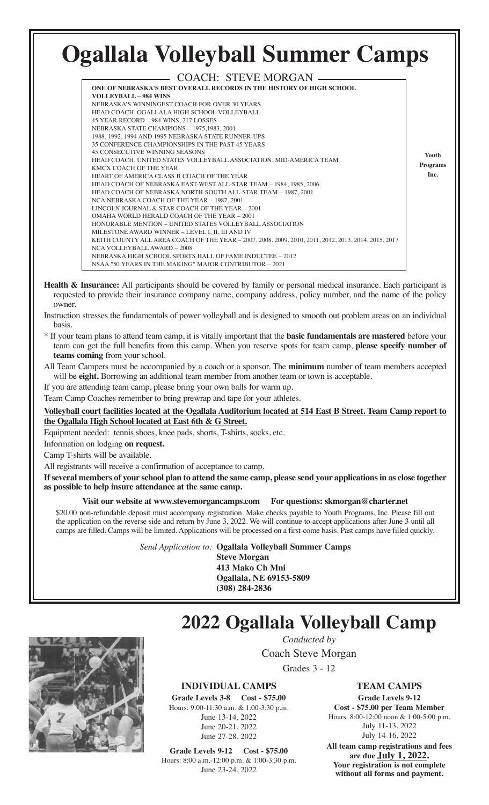#### **Ogallala Volleyball Summer Camps** COACH: STEVE MORGAN **ONE OF NEBRASKA'S BEST OVERALL RECORDS IN THE HISTORY OF HIGH SCHOOL VOLLEYBALL – 984 WINS** NEBRASKA'S WINNINGEST COACH FOR OVER 30 YEARS HEAD COACH, OGALLALA HIGH SCHOOL VOLLEYBALL 45 YEAR RECORD – 984 WINS, 217 LOSSES NEBRASKA STATE CHAMPIONS – 1975,1983, 2001 1988, 1992, 1994 AND 1995 NEBRASKA STATE RUNNER-UPS 35 CONFERENCE CHAMPIONSHIPS IN THE PAST 45 YEARS 45 CONSECUTIVE WINNING SEASONS HEAD COACH, UNITED STATES VOLLEYBALL ASSOCIATION, MID-AMERICA TEAM KMCX COACH OF THE YEAR HEART OF AMERICA CLASS B COACH OF THE YEAR HEAD COACH OF NEBRASKA EAST-WEST ALL-STAR TEAM – 1984, 1985, 2006 HEAD COACH OF NEBRASKA NORTH-SOUTH ALL-STAR TEAM – 1987, 2001 NCA NEBRASKA COACH OF THE YEAR – 1987, 2001 LINCOLN JOURNAL & STAR COACH OF THE YEAR – 2001 OMAHA WORLD HERALD COACH OF THE YEAR – 2001 HONORABLE MENTION – UNITED STATES VOLLEYBALL ASSOCIATION MILESTONE AWARD WINNER – LEVEL I, II, III AND IV KEITH COUNTY ALL AREA COACH OF THE YEAR – 2007, 2008, 2009, 2010, 2011, 2012, 2013, 2014, 2015, 2017 NCA VOLLEYBALL AWARD – 2008 NEBRASKA HIGH SCHOOL SPORTS HALL OF FAME INDUCTEE – 2012 NSAA "50 YEARS IN THE MAKING" MAJOR CONTRIBUTOR – 2021 **Youth Programs Inc.**

- **Health & Insurance:** All participants should be covered by family or personal medical insurance. Each participant is requested to provide their insurance company name, company address, policy number, and the name of the policy owner.
- Instruction stresses the fundamentals of power volleyball and is designed to smooth out problem areas on an individual basis.
- \* If your team plans to attend team camp, it is vitally important that the **basic fundamentals are mastered** before your team can get the full benefits from this camp. When you reserve spots for team camp, **please specify number of teams coming** from your school.
- All Team Campers must be accompanied by a coach or a sponsor. The **minimum** number of team members accepted will be **eight.** Borrowing an additional team member from another team or town is acceptable.

If you are attending team camp, please bring your own balls for warm up.

Team Camp Coaches remember to bring prewrap and tape for your athletes.

**Volleyball court facilities located at the Ogallala Auditorium located at 514 East B Street. Team Camp report to the Ogallala High School located at East 6th & G Street.**

Equipment needed: tennis shoes, knee pads, shorts, T-shirts, socks, etc.

Information on lodging **on request.**

Camp T-shirts will be available.

All registrants will receive a confirmation of acceptance to camp.

**If several members of your school plan to attend the same camp, please send your applications in as close together as possible to help insure attendance at the same camp.**

## **Visit our website at www.stevemorgancamps.com For questions: skmorgan@charter.net**

\$20.00 non-refundable deposit must accompany registration. Make checks payable to Youth Programs, Inc. Please fill out the application on the reverse side and return by June 3, 2022. We will continue to accept applications after June 3 until all camps are filled. Camps will be limited. Applications will be processed on a first-come basis. Past camps have filled quickly.

*Send Application to:*  **Ogallala Volleyball Summer Camps**

**Steve Morgan 413 Mako Ch Mni Ogallala, NE 69153-5809 (308) 284-2836**

# **2022 Ogallala Volleyball Camp**

*Conducted by* Coach Steve Morgan

Grades 3 - 12

# **INDIVIDUAL CAMPS**

**Grade Levels 3-8 Cost - \$75.00** Hours: 9:00-11:30 a.m. & 1:00-3:30 p.m. June 13-14, 2022 June 20-21, 2022 June 27-28, 2022

**Grade Levels 9-12 Cost - \$75.00** Hours: 8:00 a.m.-12:00 p.m. & 1:00-3:30 p.m. June 23-24, 2022

**TEAM CAMPS**

# **Grade Levels 9-12**

**Cost - \$75.00 per Team Member** Hours: 8:00-12:00 noon & 1:00-5:00 p.m. July 11-13, 2022 July 14-16, 2022 **All team camp registrations and fees**

**are due July 1, 2022. Your registration is not complete without all forms and payment.**